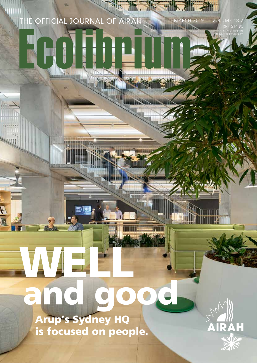MARCH 2019 · VOLUME 18.2 RRP \$14.95 PRINT POST APPROVAL RUMBER 200

# WE and good

 Arup's Sydney HQ is focused on people.

N F

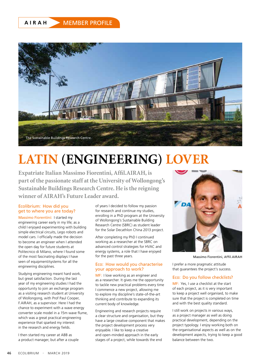### **AIRAH** MEMBER PROFILE



## **LATIN (ENGINEERING) LOVER**

**Expatriate Italian Massimo Fiorentini, Affil.AIRAH, is part of the passionate staff at the University of Wollongong's Sustainable Buildings Research Centre. He is the reigning winner of AIRAH's Future Leader award.**

#### Ecolibrium: How did you get to where you are today?

Massimo Fiorentini: I started my engineering career early in my life; as a child I enjoyed experimenting with building simple electrical circuits, Lego robots and model cars. I officially made the decision to become an engineer when I attended the open day for future students at Politecnico di Milano, where I found some of the most fascinating displays I have seen of equipment/systems for all the engineering disciplines.

Studying engineering meant hard work, but great satisfaction. During the last year of my engineering studies I had the opportunity to join an exchange program as a visiting research student at University of Wollongong, with Prof Paul Cooper, F.AIRAH, as a supervisor. Here I had the chance to experiment with a wave energy converter scale model in a 15m wave flume, which was a great practical engineering experience that sparked my interest in the research and energy fields.

I then started my career at ABB as a product manager, but after a couple of years I decided to follow my passion for research and continue my studies, enrolling in a PhD program at the University of Wollongong's Sustainable Building Research Centre (SBRC) as student leader for the Solar Decathlon China 2013 project.

After completing my PhD I continued working as a researcher at the SBRC on advanced control strategies for HVAC and energy systems, a role that I have enjoyed for the past three years.

#### Eco: How would you characterise your approach to work?

MF: I love working as an engineer and as a researcher. It gives me the opportunity to tackle new practical problems every time I commence a new project, allowing me to explore my discipline's state-of-the-art thinking and contribute to expanding its current body of knowledge.

Engineering and research projects require a clear structure and organisation, but they have a large creative component that makes the project development process very enjoyable. I like to keep a creative and open-minded approach in the early stages of a project, while towards the end



Massimo Fiorentini, Affil.AIRAH

I prefer a more pragmatic attitude that guarantees the project's success.

#### Eco: Do you follow checklists?

MF: Yes, I use a checklist at the start of each project, as it is very important to keep a project well organised, to make sure that the project is completed on time and with the best quality standard.

I still work on projects in various ways, as a project manager as well as doing practical development, depending on the project typology. I enjoy working both on the organisational aspects as well as on the development aspects, trying to keep a good balance between the two.